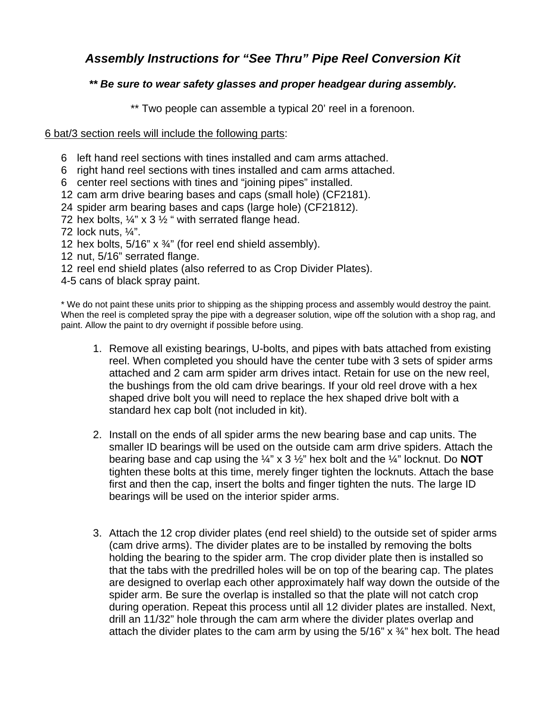## *Assembly Instructions for "See Thru" Pipe Reel Conversion Kit*

## *\*\* Be sure to wear safety glasses and proper headgear during assembly.*

\*\* Two people can assemble a typical 20' reel in a forenoon.

## 6 bat/3 section reels will include the following parts:

- 6 left hand reel sections with tines installed and cam arms attached.
- 6 right hand reel sections with tines installed and cam arms attached.
- 6 center reel sections with tines and "joining pipes" installed.
- 12 cam arm drive bearing bases and caps (small hole) (CF2181).
- 24 spider arm bearing bases and caps (large hole) (CF21812).
- 72 hex bolts,  $\frac{1}{4}$ " x 3  $\frac{1}{2}$ " with serrated flange head.
- 72 lock nuts, ¼".
- 12 hex bolts,  $5/16$ " x  $\frac{3}{4}$ " (for reel end shield assembly).
- 12 nut, 5/16" serrated flange.
- 12 reel end shield plates (also referred to as Crop Divider Plates).
- 4-5 cans of black spray paint.

\* We do not paint these units prior to shipping as the shipping process and assembly would destroy the paint. When the reel is completed spray the pipe with a degreaser solution, wipe off the solution with a shop rag, and paint. Allow the paint to dry overnight if possible before using.

- 1. Remove all existing bearings, U-bolts, and pipes with bats attached from existing reel. When completed you should have the center tube with 3 sets of spider arms attached and 2 cam arm spider arm drives intact. Retain for use on the new reel, the bushings from the old cam drive bearings. If your old reel drove with a hex shaped drive bolt you will need to replace the hex shaped drive bolt with a standard hex cap bolt (not included in kit).
- 2. Install on the ends of all spider arms the new bearing base and cap units. The smaller ID bearings will be used on the outside cam arm drive spiders. Attach the bearing base and cap using the ¼" x 3 ½" hex bolt and the ¼" locknut. Do **NOT** tighten these bolts at this time, merely finger tighten the locknuts. Attach the base first and then the cap, insert the bolts and finger tighten the nuts. The large ID bearings will be used on the interior spider arms.
- 3. Attach the 12 crop divider plates (end reel shield) to the outside set of spider arms (cam drive arms). The divider plates are to be installed by removing the bolts holding the bearing to the spider arm. The crop divider plate then is installed so that the tabs with the predrilled holes will be on top of the bearing cap. The plates are designed to overlap each other approximately half way down the outside of the spider arm. Be sure the overlap is installed so that the plate will not catch crop during operation. Repeat this process until all 12 divider plates are installed. Next, drill an 11/32" hole through the cam arm where the divider plates overlap and attach the divider plates to the cam arm by using the  $5/16$ " x  $\frac{3}{4}$ " hex bolt. The head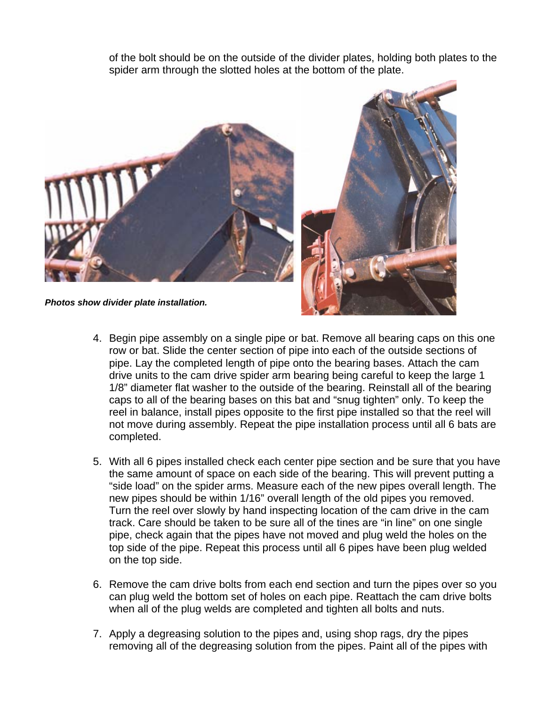of the bolt should be on the outside of the divider plates, holding both plates to the spider arm through the slotted holes at the bottom of the plate.



- 4. Begin pipe assembly on a single pipe or bat. Remove all bearing caps on this one row or bat. Slide the center section of pipe into each of the outside sections of pipe. Lay the completed length of pipe onto the bearing bases. Attach the cam drive units to the cam drive spider arm bearing being careful to keep the large 1 1/8" diameter flat washer to the outside of the bearing. Reinstall all of the bearing caps to all of the bearing bases on this bat and "snug tighten" only. To keep the reel in balance, install pipes opposite to the first pipe installed so that the reel will not move during assembly. Repeat the pipe installation process until all 6 bats are completed.
- 5. With all 6 pipes installed check each center pipe section and be sure that you have the same amount of space on each side of the bearing. This will prevent putting a "side load" on the spider arms. Measure each of the new pipes overall length. The new pipes should be within 1/16" overall length of the old pipes you removed. Turn the reel over slowly by hand inspecting location of the cam drive in the cam track. Care should be taken to be sure all of the tines are "in line" on one single pipe, check again that the pipes have not moved and plug weld the holes on the top side of the pipe. Repeat this process until all 6 pipes have been plug welded on the top side.
- 6. Remove the cam drive bolts from each end section and turn the pipes over so you can plug weld the bottom set of holes on each pipe. Reattach the cam drive bolts when all of the plug welds are completed and tighten all bolts and nuts.
- 7. Apply a degreasing solution to the pipes and, using shop rags, dry the pipes removing all of the degreasing solution from the pipes. Paint all of the pipes with